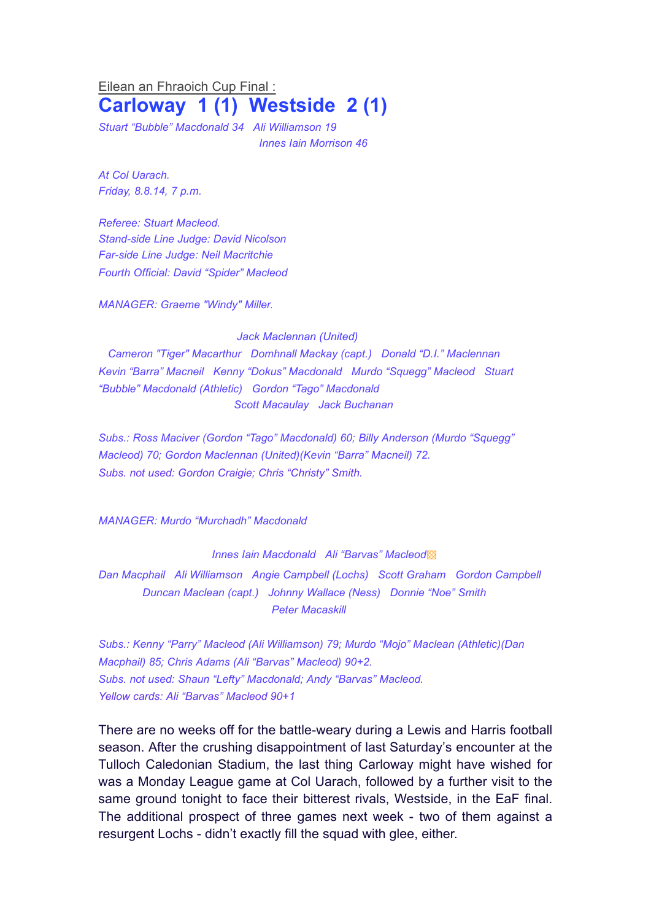## Eilean an Fhraoich Cup Final : **Carloway 1 (1) Westside 2 (1)**

*Stuart "Bubble" Macdonald 34 Ali Williamson 19 Innes Iain Morrison 46*

*At Col Uarach. Friday, 8.8.14, 7 p.m.*

*Referee: Stuart Macleod. Stand-side Line Judge: David Nicolson Far-side Line Judge: Neil Macritchie Fourth Official: David "Spider" Macleod*

*MANAGER: Graeme "Windy" Miller.* 

## *Jack Maclennan (United)*

*Cameron "Tiger" Macarthur Domhnall Mackay (capt.) Donald "D.I." Maclennan Kevin "Barra" Macneil Kenny "Dokus" Macdonald Murdo "Squegg" Macleod Stuart "Bubble" Macdonald (Athletic) Gordon "Tago" Macdonald Scott Macaulay Jack Buchanan* 

*Subs.: Ross Maciver (Gordon "Tago" Macdonald) 60; Billy Anderson (Murdo "Squegg" Macleod) 70; Gordon Maclennan (United)(Kevin "Barra" Macneil) 72. Subs. not used: Gordon Craigie; Chris "Christy" Smith.*

*MANAGER: Murdo "Murchadh" Macdonald*

*Innes Iain Macdonald Ali "Barvas" Macleod*▩

*Dan Macphail Ali Williamson Angie Campbell (Lochs) Scott Graham Gordon Campbell Duncan Maclean (capt.) Johnny Wallace (Ness) Donnie "Noe" Smith Peter Macaskill*

*Subs.: Kenny "Parry" Macleod (Ali Williamson) 79; Murdo "Mojo" Maclean (Athletic)(Dan Macphail) 85; Chris Adams (Ali "Barvas" Macleod) 90+2. Subs. not used: Shaun "Lefty" Macdonald; Andy "Barvas" Macleod. Yellow cards: Ali "Barvas" Macleod 90+1*

There are no weeks off for the battle-weary during a Lewis and Harris football season. After the crushing disappointment of last Saturday's encounter at the Tulloch Caledonian Stadium, the last thing Carloway might have wished for was a Monday League game at Col Uarach, followed by a further visit to the same ground tonight to face their bitterest rivals, Westside, in the EaF final. The additional prospect of three games next week - two of them against a resurgent Lochs - didn't exactly fill the squad with glee, either.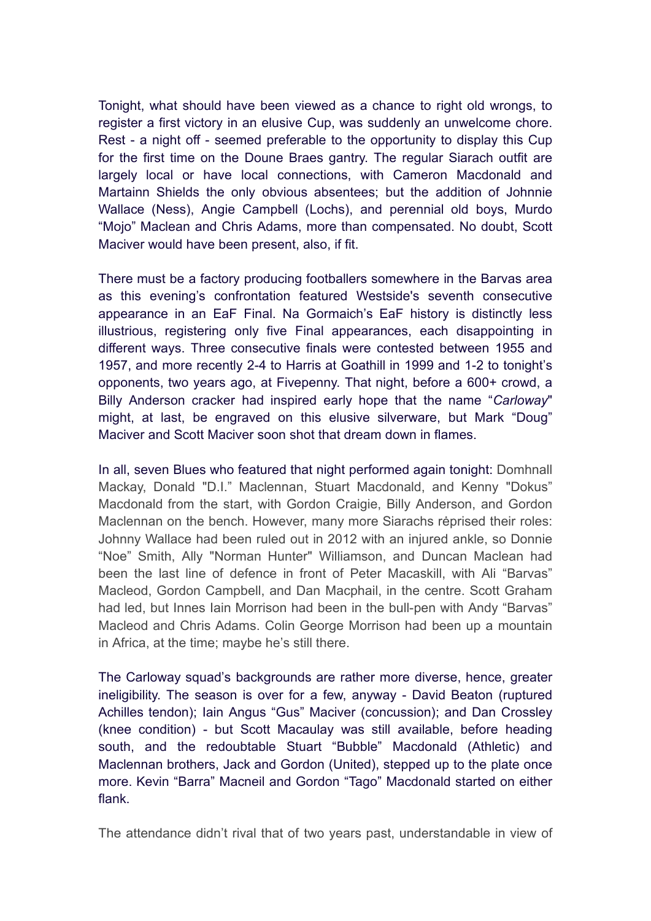Tonight, what should have been viewed as a chance to right old wrongs, to register a first victory in an elusive Cup, was suddenly an unwelcome chore. Rest - a night off - seemed preferable to the opportunity to display this Cup for the first time on the Doune Braes gantry. The regular Siarach outfit are largely local or have local connections, with Cameron Macdonald and Martainn Shields the only obvious absentees; but the addition of Johnnie Wallace (Ness), Angie Campbell (Lochs), and perennial old boys, Murdo "Mojo" Maclean and Chris Adams, more than compensated. No doubt, Scott Maciver would have been present, also, if fit.

There must be a factory producing footballers somewhere in the Barvas area as this evening's confrontation featured Westside's seventh consecutive appearance in an EaF Final. Na Gormaich's EaF history is distinctly less illustrious, registering only five Final appearances, each disappointing in different ways. Three consecutive finals were contested between 1955 and 1957, and more recently 2-4 to Harris at Goathill in 1999 and 1-2 to tonight's opponents, two years ago, at Fivepenny. That night, before a 600+ crowd, a Billy Anderson cracker had inspired early hope that the name "*Carloway*" might, at last, be engraved on this elusive silverware, but Mark "Doug" Maciver and Scott Maciver soon shot that dream down in flames.

In all, seven Blues who featured that night performed again tonight: Domhnall Mackay, Donald "D.I." Maclennan, Stuart Macdonald, and Kenny "Dokus" Macdonald from the start, with Gordon Craigie, Billy Anderson, and Gordon Maclennan on the bench. However, many more Siarachs rėprised their roles: Johnny Wallace had been ruled out in 2012 with an injured ankle, so Donnie "Noe" Smith, Ally "Norman Hunter" Williamson, and Duncan Maclean had been the last line of defence in front of Peter Macaskill, with Ali "Barvas" Macleod, Gordon Campbell, and Dan Macphail, in the centre. Scott Graham had led, but Innes Iain Morrison had been in the bull-pen with Andy "Barvas" Macleod and Chris Adams. Colin George Morrison had been up a mountain in Africa, at the time; maybe he's still there.

The Carloway squad's backgrounds are rather more diverse, hence, greater ineligibility. The season is over for a few, anyway - David Beaton (ruptured Achilles tendon); Iain Angus "Gus" Maciver (concussion); and Dan Crossley (knee condition) - but Scott Macaulay was still available, before heading south, and the redoubtable Stuart "Bubble" Macdonald (Athletic) and Maclennan brothers, Jack and Gordon (United), stepped up to the plate once more. Kevin "Barra" Macneil and Gordon "Tago" Macdonald started on either flank.

The attendance didn't rival that of two years past, understandable in view of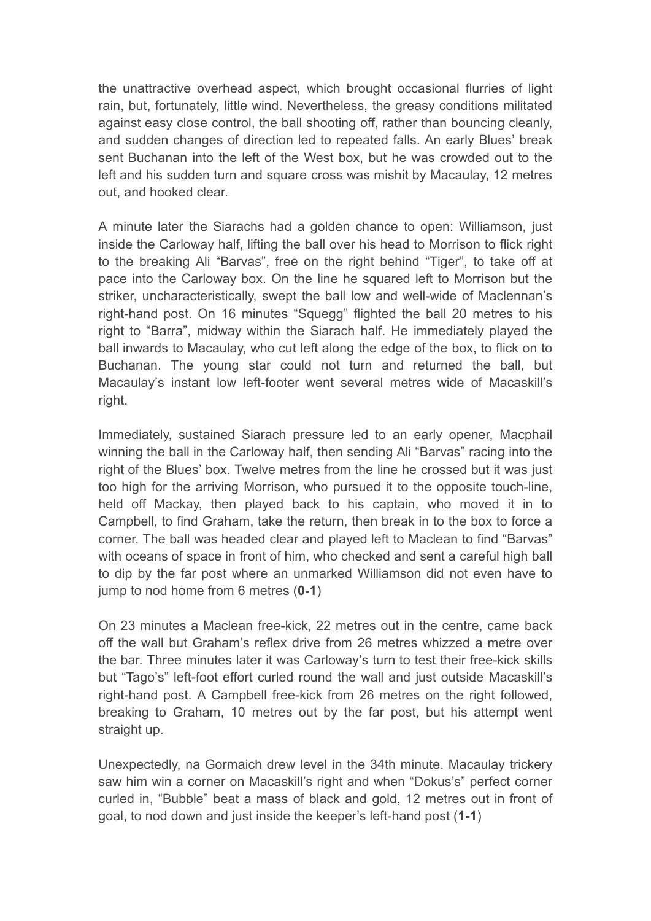the unattractive overhead aspect, which brought occasional flurries of light rain, but, fortunately, little wind. Nevertheless, the greasy conditions militated against easy close control, the ball shooting off, rather than bouncing cleanly, and sudden changes of direction led to repeated falls. An early Blues' break sent Buchanan into the left of the West box, but he was crowded out to the left and his sudden turn and square cross was mishit by Macaulay, 12 metres out, and hooked clear.

A minute later the Siarachs had a golden chance to open: Williamson, just inside the Carloway half, lifting the ball over his head to Morrison to flick right to the breaking Ali "Barvas", free on the right behind "Tiger", to take off at pace into the Carloway box. On the line he squared left to Morrison but the striker, uncharacteristically, swept the ball low and well-wide of Maclennan's right-hand post. On 16 minutes "Squegg" flighted the ball 20 metres to his right to "Barra", midway within the Siarach half. He immediately played the ball inwards to Macaulay, who cut left along the edge of the box, to flick on to Buchanan. The young star could not turn and returned the ball, but Macaulay's instant low left-footer went several metres wide of Macaskill's right.

Immediately, sustained Siarach pressure led to an early opener, Macphail winning the ball in the Carloway half, then sending Ali "Barvas" racing into the right of the Blues' box. Twelve metres from the line he crossed but it was just too high for the arriving Morrison, who pursued it to the opposite touch-line, held off Mackay, then played back to his captain, who moved it in to Campbell, to find Graham, take the return, then break in to the box to force a corner. The ball was headed clear and played left to Maclean to find "Barvas" with oceans of space in front of him, who checked and sent a careful high ball to dip by the far post where an unmarked Williamson did not even have to jump to nod home from 6 metres (**0-1**)

On 23 minutes a Maclean free-kick, 22 metres out in the centre, came back off the wall but Graham's reflex drive from 26 metres whizzed a metre over the bar. Three minutes later it was Carloway's turn to test their free-kick skills but "Tago's" left-foot effort curled round the wall and just outside Macaskill's right-hand post. A Campbell free-kick from 26 metres on the right followed, breaking to Graham, 10 metres out by the far post, but his attempt went straight up.

Unexpectedly, na Gormaich drew level in the 34th minute. Macaulay trickery saw him win a corner on Macaskill's right and when "Dokus's" perfect corner curled in, "Bubble" beat a mass of black and gold, 12 metres out in front of goal, to nod down and just inside the keeper's left-hand post (**1-1**)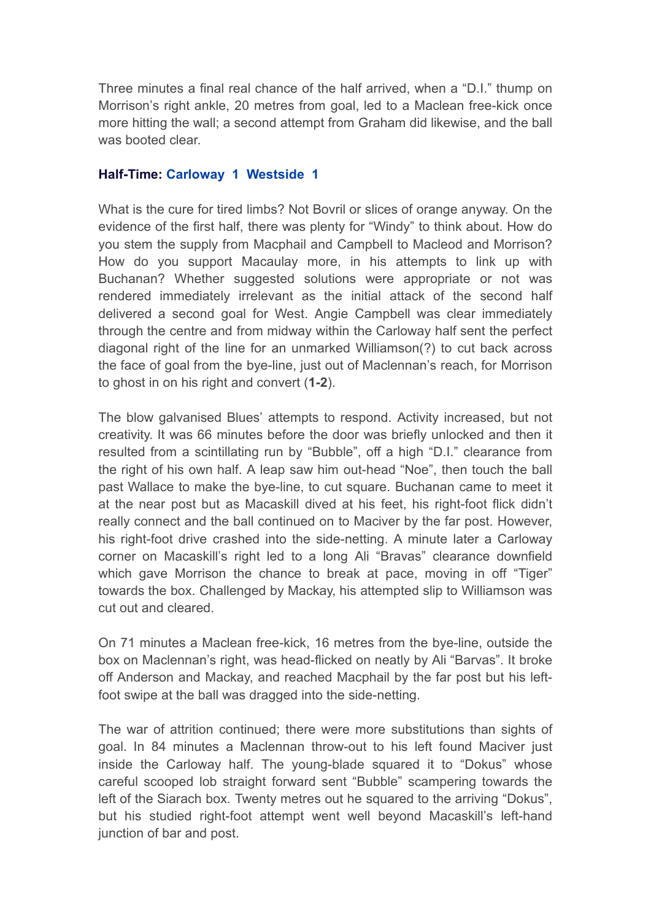Three minutes a final real chance of the half arrived, when a "D.I." thump on Morrison's right ankle, 20 metres from goal, led to a Maclean free-kick once more hitting the wall; a second attempt from Graham did likewise, and the ball was booted clear.

## **Half-Time: Carloway 1 Westside 1**

What is the cure for tired limbs? Not Bovril or slices of orange anyway. On the evidence of the first half, there was plenty for "Windy" to think about. How do you stem the supply from Macphail and Campbell to Macleod and Morrison? How do you support Macaulay more, in his attempts to link up with Buchanan? Whether suggested solutions were appropriate or not was rendered immediately irrelevant as the initial attack of the second half delivered a second goal for West. Angie Campbell was clear immediately through the centre and from midway within the Carloway half sent the perfect diagonal right of the line for an unmarked Williamson(?) to cut back across the face of goal from the bye-line, just out of Maclennan's reach, for Morrison to ghost in on his right and convert (**1-2**).

The blow galvanised Blues' attempts to respond. Activity increased, but not creativity. It was 66 minutes before the door was briefly unlocked and then it resulted from a scintillating run by "Bubble", off a high "D.I." clearance from the right of his own half. A leap saw him out-head "Noe", then touch the ball past Wallace to make the bye-line, to cut square. Buchanan came to meet it at the near post but as Macaskill dived at his feet, his right-foot flick didn't really connect and the ball continued on to Maciver by the far post. However, his right-foot drive crashed into the side-netting. A minute later a Carloway corner on Macaskill's right led to a long Ali "Bravas" clearance downfield which gave Morrison the chance to break at pace, moving in off "Tiger" towards the box. Challenged by Mackay, his attempted slip to Williamson was cut out and cleared.

On 71 minutes a Maclean free-kick, 16 metres from the bye-line, outside the box on Maclennan's right, was head-flicked on neatly by Ali "Barvas". It broke off Anderson and Mackay, and reached Macphail by the far post but his leftfoot swipe at the ball was dragged into the side-netting.

The war of attrition continued; there were more substitutions than sights of goal. In 84 minutes a Maclennan throw-out to his left found Maciver just inside the Carloway half. The young-blade squared it to "Dokus" whose careful scooped lob straight forward sent "Bubble" scampering towards the left of the Siarach box. Twenty metres out he squared to the arriving "Dokus", but his studied right-foot attempt went well beyond Macaskill's left-hand junction of bar and post.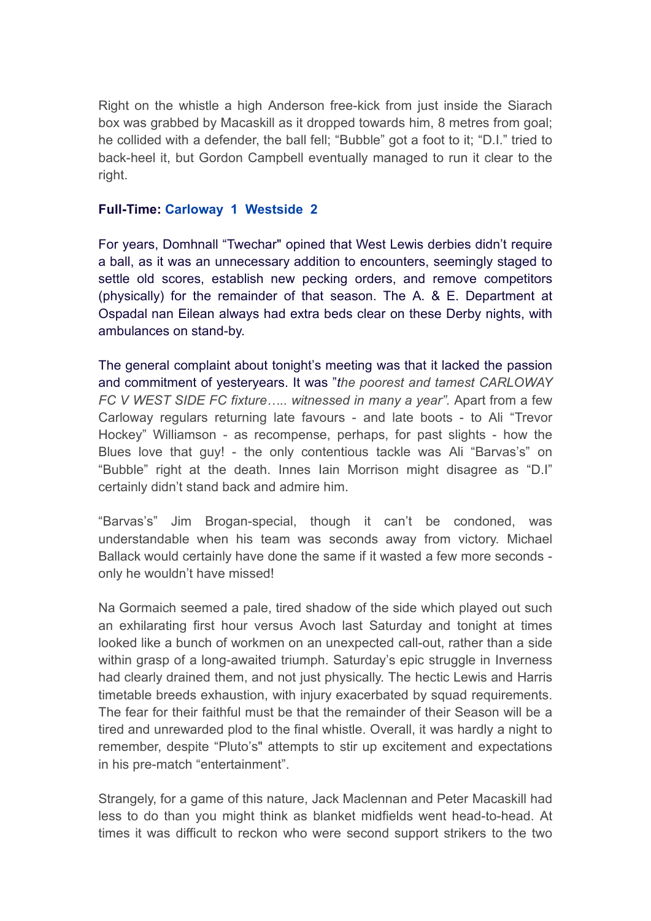Right on the whistle a high Anderson free-kick from just inside the Siarach box was grabbed by Macaskill as it dropped towards him, 8 metres from goal; he collided with a defender, the ball fell; "Bubble" got a foot to it; "D.I." tried to back-heel it, but Gordon Campbell eventually managed to run it clear to the right.

## **Full-Time: Carloway 1 Westside 2**

For years, Domhnall "Twechar" opined that West Lewis derbies didn't require a ball, as it was an unnecessary addition to encounters, seemingly staged to settle old scores, establish new pecking orders, and remove competitors (physically) for the remainder of that season. The A. & E. Department at Ospadal nan Eilean always had extra beds clear on these Derby nights, with ambulances on stand-by.

The general complaint about tonight's meeting was that it lacked the passion and commitment of yesteryears. It was "*the poorest and tamest CARLOWAY FC V WEST SIDE FC fixture….. witnessed in many a year".* Apart from a few Carloway regulars returning late favours - and late boots - to Ali "Trevor Hockey" Williamson - as recompense, perhaps, for past slights - how the Blues love that guy! - the only contentious tackle was Ali "Barvas's" on "Bubble" right at the death. Innes Iain Morrison might disagree as "D.I" certainly didn't stand back and admire him.

"Barvas's" Jim Brogan-special, though it can't be condoned, was understandable when his team was seconds away from victory. Michael Ballack would certainly have done the same if it wasted a few more seconds only he wouldn't have missed!

Na Gormaich seemed a pale, tired shadow of the side which played out such an exhilarating first hour versus Avoch last Saturday and tonight at times looked like a bunch of workmen on an unexpected call-out, rather than a side within grasp of a long-awaited triumph. Saturday's epic struggle in Inverness had clearly drained them, and not just physically. The hectic Lewis and Harris timetable breeds exhaustion, with injury exacerbated by squad requirements. The fear for their faithful must be that the remainder of their Season will be a tired and unrewarded plod to the final whistle. Overall, it was hardly a night to remember, despite "Pluto's" attempts to stir up excitement and expectations in his pre-match "entertainment".

Strangely, for a game of this nature, Jack Maclennan and Peter Macaskill had less to do than you might think as blanket midfields went head-to-head. At times it was difficult to reckon who were second support strikers to the two